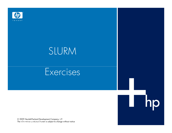

# SLURM

# **Exercises**

hp

U

© 2009 Hewlett-Packard Development Company, L.P.<br>The information contained herein is subject to change without notice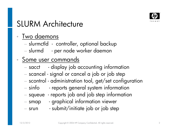

# SLURM Architecture

#### •Two daemons

- slurmctld controller, optional backup
- slurmd per node worker daemon

#### •• Some user commands

- − sacct - display job accounting information
- scancel signal or cancel a job or job step
- scontrol administration tool, get/set configuratio n
- − sinfo - reports general system information
- squeue reports job and job step information
- smap graphical information viewer
- $-$  srun  $\qquad$  submit/initiate job or job step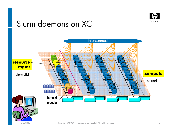

### Slurm daemons on XC

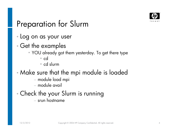

### Preparation for Slurm

- •Log on as your user
- • Get the examples
	- YOU already got them yesterday. To get there type
		- cd
		- cd slurm
- $\bullet$  Make sure that the mpi module is loaded
	- module load mpi
	- $-$  module avail
- • Check the your Slurm is running
	- $\,$  srun hostname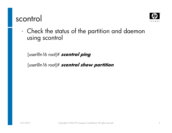### scontrol



•Check the status of the partition and daemon using scontrol

[user@n16 root]# **scontrol ping** 

[user@n16 root]# **scontrol show partition**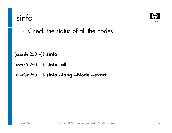# sinfo



•Check the status of all the nodes

```
[user@n260 ~]$ sinfo
```

```
[user@n260 ~]$ sinfo –all
```

```
[user@n260 ~]$ sinfo --long --Node --exact
```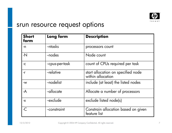

### srun resource request options

| <b>Short</b><br>form     | Long form       | <b>Description</b>                                      |
|--------------------------|-----------------|---------------------------------------------------------|
| -n                       | --ntasks        | processors count                                        |
| $-N$                     | -nodes          | Node count                                              |
| $-C$                     | --cpus-per-task | count of CPUs required per task                         |
| $-r$                     | -relative       | start allocation on specified node<br>within allocation |
| $-W$                     | -nodelist       | include (at least) the listed nodes                     |
| $-A$                     | --allocate      | Allocate a number of processors                         |
| $-X$                     | --exclude       | exclude listed node(s)                                  |
| $\overline{\mathcal{C}}$ | --constraint    | Constrain allocation based on given<br>feature list     |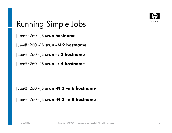

# Running Simple Jobs

[user@n260 ~]\$ **srun hostname**

[user@n260 ~]\$ **srun –N 2 hostname**

[user@n260 ~]\$ **srun –c 2 hostname**

[user@n260 ~]\$ **srun –c 4 hostname**

[user@n260 ~]\$ **srun -N 3 –n 6 hostname**

[user@n260 ~]\$ **srun -N 2 –n 8 hostname**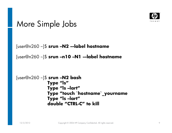

### More Simple Jobs

```
[user@n260 ~]$ srun –N2 –-label hostname
```

```
[user@n260 ~]$ srun –n10 –N1 –-label hostname
```

```
[user@n260 ~]$ srun –N2 bashType "ls"
Type "ls –lart"
Type "touch `hostname`_yournameType "ls –lart"
double "CTRL-C" to kill
```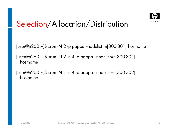

[user@n260 ~]\$ srun -N 2 -p pappa --nodelist=n[300-301] hostname

 $[user@n260$  ~]\$ srun -N 2 -n 4 -p pappa --nodelist=n $[300-301]$ hostname

 $[user@n260 ~ 302]$  srun -N 1 -n 4 -p pappa --nodelist=n $[300-302]$ hostname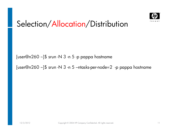

[user@n260 ~]\$ srun -N 3 -n 5 -p pappa hostname

[user@n260 ~]\$ srun -N 3 -n 5 –ntasks-per-node=2 -p pappa hostname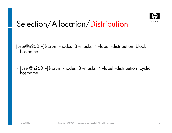

[user@n260 ~]\$ srun --nodes=3 --ntasks=4 --label --distribution=block hostname

• [user@n260 ~]\$ srun --nodes=3 --ntasks=4 --label --distribution=cyclic hostname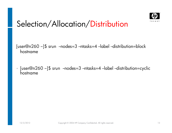

[user@n260 ~]\$ srun --nodes=3 --ntasks=4 --label --distribution=block hostname

• [user@n260 ~]\$ srun --nodes=3 --ntasks=4 --label --distribution=cyclic hostname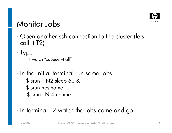

### Monitor Jobs

- •• Open another ssh connection to the cluster (lets call it T2)
- $\bullet$ Type

• watch "squeue –t all"

- $\bullet$ • In the initial terminal run some jobs
	- \$ srun –N2 sleep 60 &
	- \$ srun hostname
	- \$ srun –N 4 uptime
- •In terminal T2 watch the jobs come and go….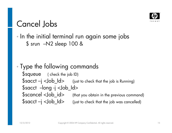

# Cancel Jobs

• In the initial terminal run again some jobs \$ srun –N2 sleep 100 &

• Type the following commands \$squeue ( check the job ID)  $$sacct - j <$ Job $Id$  (just to check that the job is Running) \$sacct --long -j <Job\_Id> $\$$ s $\alpha$ n $\operatorname{cel} <$ Jo $\operatorname{bol\_id>}$  (that you obtain in the previous command)  $$sacct -j   $Id >$  (just to check that the job was cancelled)$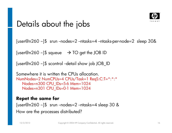

### Details about the jobs

[user@n260 ~]\$ srun --nodes=2 --ntasks=4 --ntasks-per-node=2 sleep 30&

[user@n260 ~]\$ squeue  $\rightarrow$  TO get the JOB ID

[user@n260 ~]\$ scontrol --detail show job JOB\_ID

```
Somewhere it is written the CPUs allocation.
NumNodes=2 NumCPUs=4 CPUs/Task=1 ReqS:C:T=*:*:*Nodes=n300 CPU_IDs=5-6 Mem=1024
Nodes=n301 CPU_IDs=0-1 Mem=1024
```
#### **Repet the same for**

[user@n260 ~]\$ srun --nodes=2 --ntasks=4 sleep 30 &How are the processes distributed?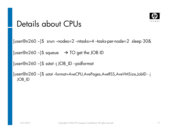

### Details about CPUs

```
[user@n260 ~]$ srun --nodes=2 --ntasks=4 --tasks-per-node=2 sleep 30&
```
[user@n260 ~]\$ squeue  $\rightarrow$  TO get the JOB ID

[user@n260 ~]\$ sstat -j JOB\_ID –pidformat

[user@n260 ~]\$ sstat --format=AveCPU,AvePages,AveRSS,AveVMSize,JobID - <sup>j</sup> JOB\_ID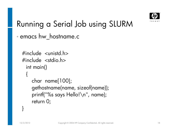

# Running a Serial Job using SLURM

•emacs hw\_hostname.c

```
\#include \ltunistd.h>

#include <stdio.h>int main(){
    char name[100];gethostname(name, sizeof(name));printf("%s says Hello!\n", name);
    return 0;
```
}<br>}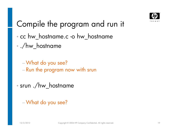

# Compile the program and run it

- •cc hw\_hostname.c -o hw\_hostname
- • ./hw\_hostname
	- −What do you see? Run the program now with srun
- • srun ./hw\_hostname
	- −What do you see?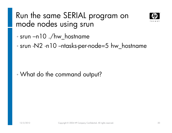# Run the same SERIAL program on mode nodes using srun



- •srun –n10 ./hw\_hostname
- •• srun -N2 -n10 --ntasks-per-node=5 hw\_hostname

•What do the command output?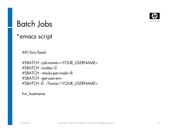

### Batch Jobs

### \*emacs script

##!/bin/bash

#SBATCH --job-name=<YOUR\_USERNAME>#SBATCH -nodes=2 #SBATCH --ntasks-per-node=8#SBATCH --get-user-env #SBATCH -D /home/<YOUR\_USERNAME>

hw\_hostname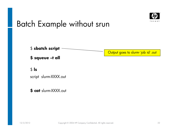

# Batch Example without srun



script slurm-XXXX.out

**\$ cat** slurm-XXXX.out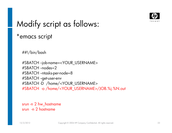

# Modify script as follows:

#### \*emacs script

##!/bin/bash

#SBATCH --job-name=<YOUR\_USERNAME>#SBATCH --nodes=2 #SBATCH --ntasks-per-node=8#SBATCH --get-user-env #SBATCH -D /home/<YOUR\_USERNAME>#SBATCH -o /home/<YOUR\_USERNAME>/JOB.%j.%N.out

srun -n 2 hw\_hostnamesrun -n 2 hostname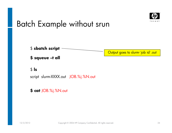

### Batch Example without srun



script slurm-XXXX.out JOB.%j.%N.out

**\$ cat** JOB.%j.%N.out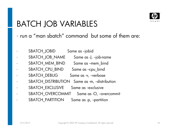

# BATCH JOB VARIABLES

- •run a "man sbatch" command but some of them are:
- •SBATCH\_JOBID Same as --jobid
- •SBATCH\_JOB\_NAME Same as -J, --job-name
- •SBATCH\_MEM\_BIND Same as --mem\_bind
	- SBATCH\_CPU\_BIND Same as --cpu\_bind
- •SBATCH\_DEBUG Same as -v, --verbose
- •SBATCH\_DISTRIBUTION Same as -m, --distribution
- •SBATCH\_EXCLUSIVE Same as --exclusive
- •SBATCH\_OVERCOMMIT Same as -O, --overcommit
- •SBATCH\_PARTITION Same as -p, --partition

•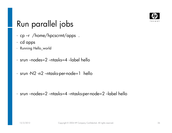

# Run parallel jobs

- •cp –r /home/hpcscrmt/apps .
- •cd apps
- •Running Hello\_world
- • $\bullet$  srun --nodes=2 --ntas $\mathsf{ks}{=}\mathsf{4}$  --label hello
- •srun -N2 -n2 --ntasks-per-node=1 hello

•srun --nodes=2 --ntasks=4 --ntasks-per-node=2 --label hello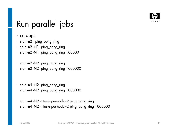

### Run parallel jobs

- •cd apps
- srun -n2 ping\_pong\_ring
- srun -n2 -N1 ping\_pong\_ring
- srun -n2 -N1 ping\_pong\_ring 100000
- srun -n2 -N2 ping\_pong\_ring
- srun -n2 -N2 ping\_pong\_ring 1000000•
- srun -n4 -N2 ping\_pong\_ring
- srun -n4 -N2 ping\_pong\_ring 1000000
- srun -n4 -N2 --ntasks-per-node=2 ping\_pong\_ring
- srun -n4 -N2 --ntasks-per-node=2 ping\_pong\_ring 1000000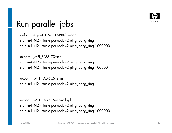

# Run parallel jobs

- default : export I\_MPI\_FABRICS=dapl
- srun -n4 -N2 --ntasks-per-node=2 ping\_pong\_ring
- srun -n4 -N2 --ntasks-per-node=2 ping\_pong\_ring <sup>1000000</sup>
- export I\_MPI\_FABRICS=tcp
- srun -n4 -N2 --ntasks-per-node=2 ping\_pong\_ring
- srun -n4 -N2 --ntasks-per-node=2 ping\_pong\_ring <sup>100000</sup>
- export I\_MPI\_FABRICS=shm
- srun -n4 -N2 --ntasks-per-node=2 ping\_pong\_ring
- •export | MPI FABRICS=shm:dapl
- srun -n4 -N2 --ntasks-per-node=2 ping\_pong\_ring
- srun -n4 -N2 --ntasks-per-node=2 ping\_pong\_ring <sup>1000000</sup>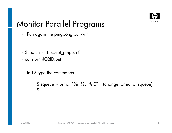

# Monitor Parallel Programs

- •Run again the pingpong but with
- •\$sbatch -n 8 script\_ping.sh 8
- •cat slurm-JOBID.out
- •In T2 type the commands

```
$ squeue --format "%i %u %C" (change format of squeue)
$
```